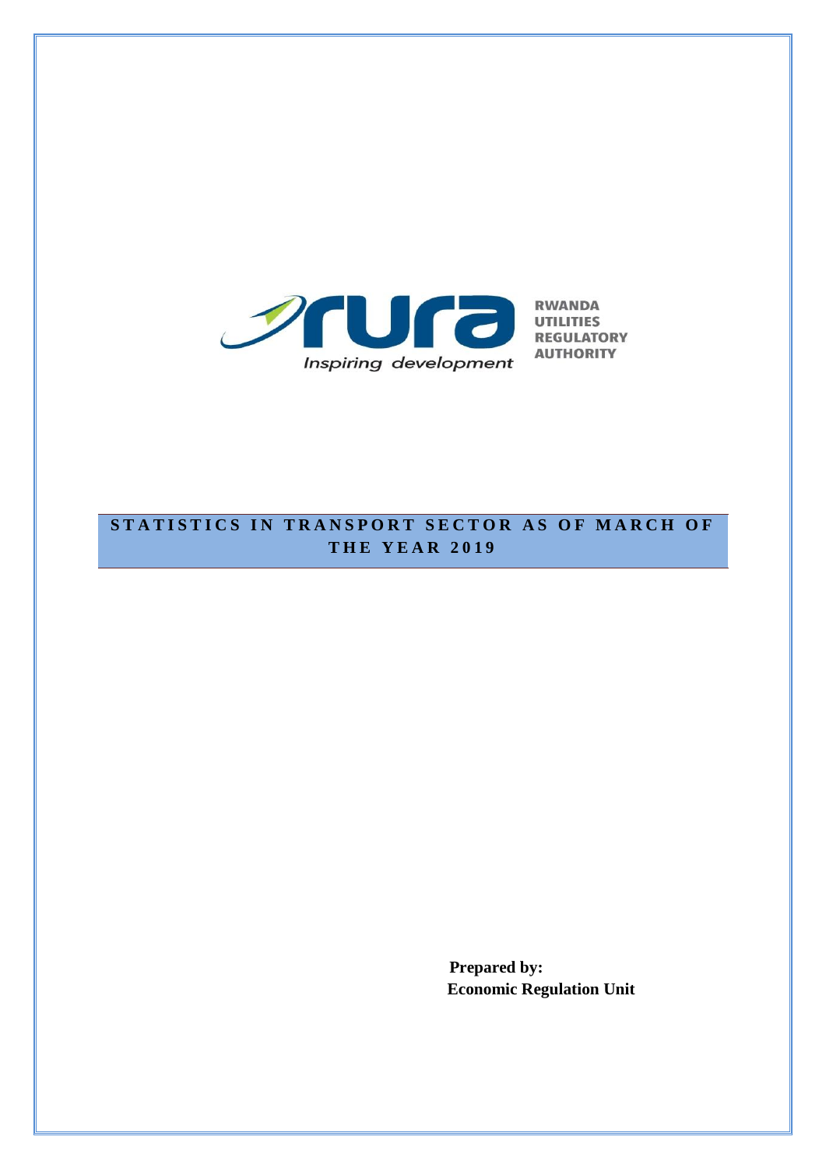

## **STATISTICS IN TRANSPORT SECTOR AS OF MARCH OF T H E Y E A R 201 9**

**Prepared by: Economic Regulation Unit**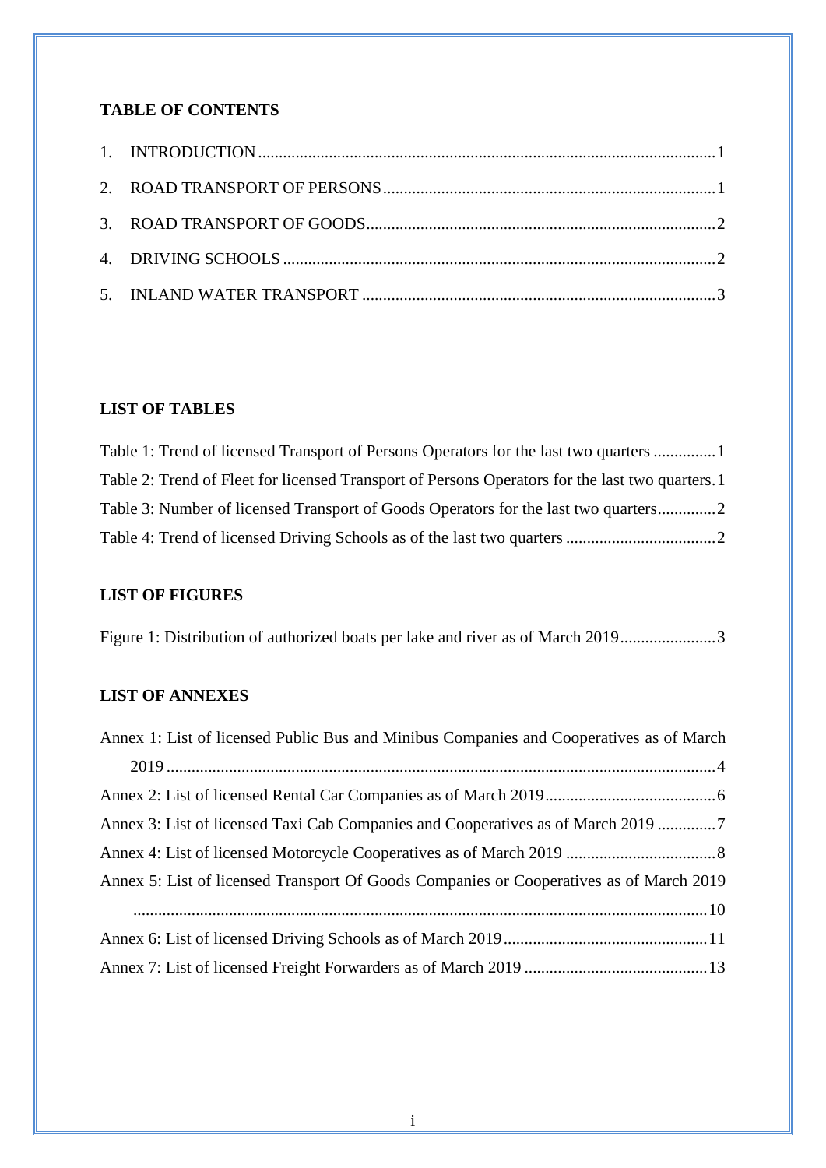#### **TABLE OF CONTENTS**

## **LIST OF TABLES**

| Table 1: Trend of licensed Transport of Persons Operators for the last two quarters  1         |  |
|------------------------------------------------------------------------------------------------|--|
| Table 2: Trend of Fleet for licensed Transport of Persons Operators for the last two quarters. |  |
| Table 3: Number of licensed Transport of Goods Operators for the last two quarters             |  |
|                                                                                                |  |

### **LIST OF FIGURES**

[Figure 1: Distribution of authorized boats per lake and river as of March 2019.......................3](#page-4-1)

### **LIST OF ANNEXES**

| Annex 1: List of licensed Public Bus and Minibus Companies and Cooperatives as of March |
|-----------------------------------------------------------------------------------------|
|                                                                                         |
|                                                                                         |
| Annex 3: List of licensed Taxi Cab Companies and Cooperatives as of March 2019 7        |
|                                                                                         |
| Annex 5: List of licensed Transport Of Goods Companies or Cooperatives as of March 2019 |
|                                                                                         |
|                                                                                         |
|                                                                                         |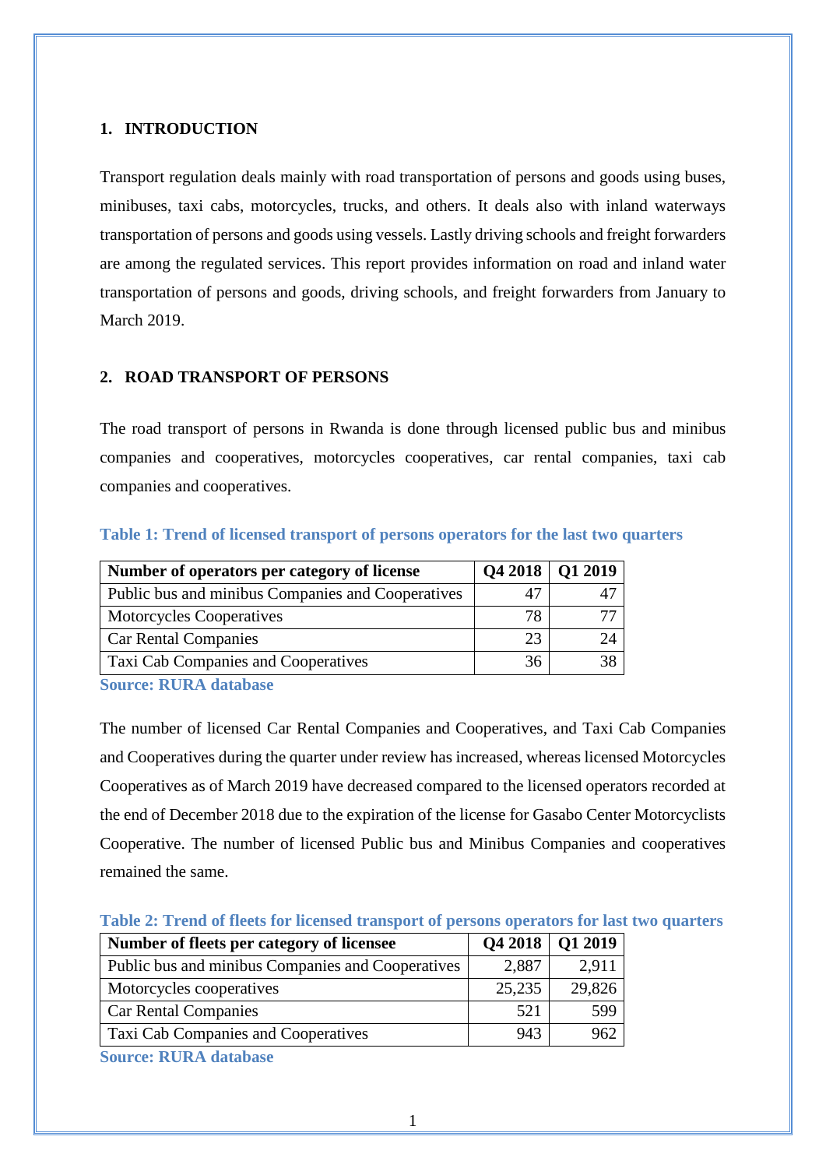#### <span id="page-2-0"></span>**1. INTRODUCTION**

Transport regulation deals mainly with road transportation of persons and goods using buses, minibuses, taxi cabs, motorcycles, trucks, and others. It deals also with inland waterways transportation of persons and goods using vessels. Lastly driving schools and freight forwarders are among the regulated services. This report provides information on road and inland water transportation of persons and goods, driving schools, and freight forwarders from January to March 2019.

#### <span id="page-2-1"></span>**2. ROAD TRANSPORT OF PERSONS**

The road transport of persons in Rwanda is done through licensed public bus and minibus companies and cooperatives, motorcycles cooperatives, car rental companies, taxi cab companies and cooperatives.

| Number of operators per category of license       |    | Q4 2018   Q1 2019 |
|---------------------------------------------------|----|-------------------|
| Public bus and minibus Companies and Cooperatives |    |                   |
| <b>Motorcycles Cooperatives</b>                   | 78 |                   |
| <b>Car Rental Companies</b>                       | 23 | 24                |
| Taxi Cab Companies and Cooperatives               | 36 | 38                |

#### <span id="page-2-2"></span>**Table 1: Trend of licensed transport of persons operators for the last two quarters**

**Source: RURA database**

The number of licensed Car Rental Companies and Cooperatives, and Taxi Cab Companies and Cooperatives during the quarter under review has increased, whereas licensed Motorcycles Cooperatives as of March 2019 have decreased compared to the licensed operators recorded at the end of December 2018 due to the expiration of the license for Gasabo Center Motorcyclists Cooperative. The number of licensed Public bus and Minibus Companies and cooperatives remained the same.

<span id="page-2-3"></span>

| Table 2: Trend of fleets for licensed transport of persons operators for last two quarters |
|--------------------------------------------------------------------------------------------|
|--------------------------------------------------------------------------------------------|

| Number of fleets per category of licensee                |        | Q4 2018   Q1 2019 |
|----------------------------------------------------------|--------|-------------------|
| Public bus and minibus Companies and Cooperatives        | 2,887  | 2,911             |
| Motorcycles cooperatives                                 | 25,235 | 29,826            |
| <b>Car Rental Companies</b>                              | 521    | 599               |
| Taxi Cab Companies and Cooperatives                      | 943    | 962               |
| $\alpha$ , $\mathbf{m}$ in $\mathbf{m}$ and $\mathbf{m}$ |        |                   |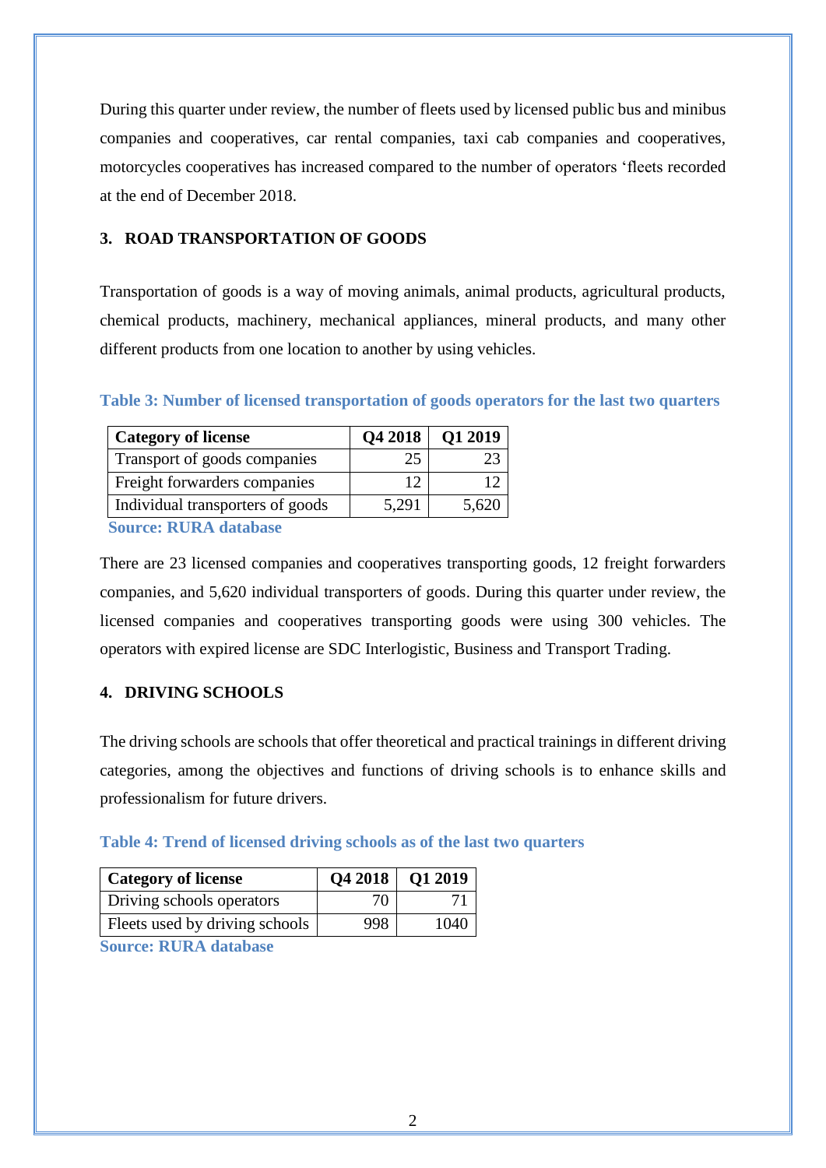During this quarter under review, the number of fleets used by licensed public bus and minibus companies and cooperatives, car rental companies, taxi cab companies and cooperatives, motorcycles cooperatives has increased compared to the number of operators 'fleets recorded at the end of December 2018.

### <span id="page-3-0"></span>**3. ROAD TRANSPORTATION OF GOODS**

Transportation of goods is a way of moving animals, animal products, agricultural products, chemical products, machinery, mechanical appliances, mineral products, and many other different products from one location to another by using vehicles.

| <b>Category of license</b>       |       | Q4 2018   Q1 2019 |
|----------------------------------|-------|-------------------|
| Transport of goods companies     | 25    |                   |
| Freight forwarders companies     | 12    |                   |
| Individual transporters of goods | 5,291 | 5.620             |
| Course DIDA database             |       |                   |

#### <span id="page-3-2"></span>**Table 3: Number of licensed transportation of goods operators for the last two quarters**

**Source: RURA database**

There are 23 licensed companies and cooperatives transporting goods, 12 freight forwarders companies, and 5,620 individual transporters of goods. During this quarter under review, the licensed companies and cooperatives transporting goods were using 300 vehicles. The operators with expired license are SDC Interlogistic, Business and Transport Trading.

### <span id="page-3-1"></span>**4. DRIVING SCHOOLS**

The driving schools are schools that offer theoretical and practical trainings in different driving categories, among the objectives and functions of driving schools is to enhance skills and professionalism for future drivers.

#### <span id="page-3-3"></span>**Table 4: Trend of licensed driving schools as of the last two quarters**

| <b>Category of license</b>     |     | Q4 2018   Q1 2019 |
|--------------------------------|-----|-------------------|
| Driving schools operators      | 70  |                   |
| Fleets used by driving schools | 998 | 1040              |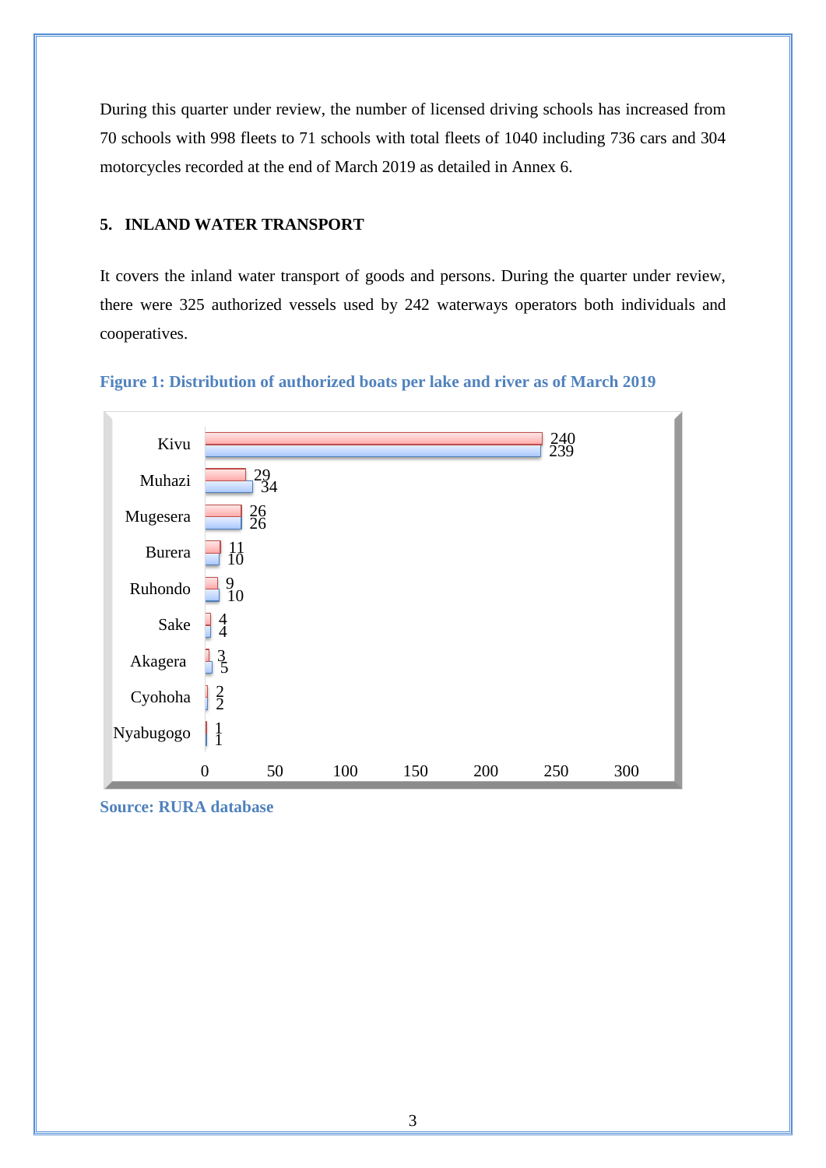During this quarter under review, the number of licensed driving schools has increased from 70 schools with 998 fleets to 71 schools with total fleets of 1040 including 736 cars and 304 motorcycles recorded at the end of March 2019 as detailed in Annex 6.

#### <span id="page-4-0"></span>**5. INLAND WATER TRANSPORT**

It covers the inland water transport of goods and persons. During the quarter under review, there were 325 authorized vessels used by 242 waterways operators both individuals and cooperatives.



<span id="page-4-1"></span>

**Source: RURA database**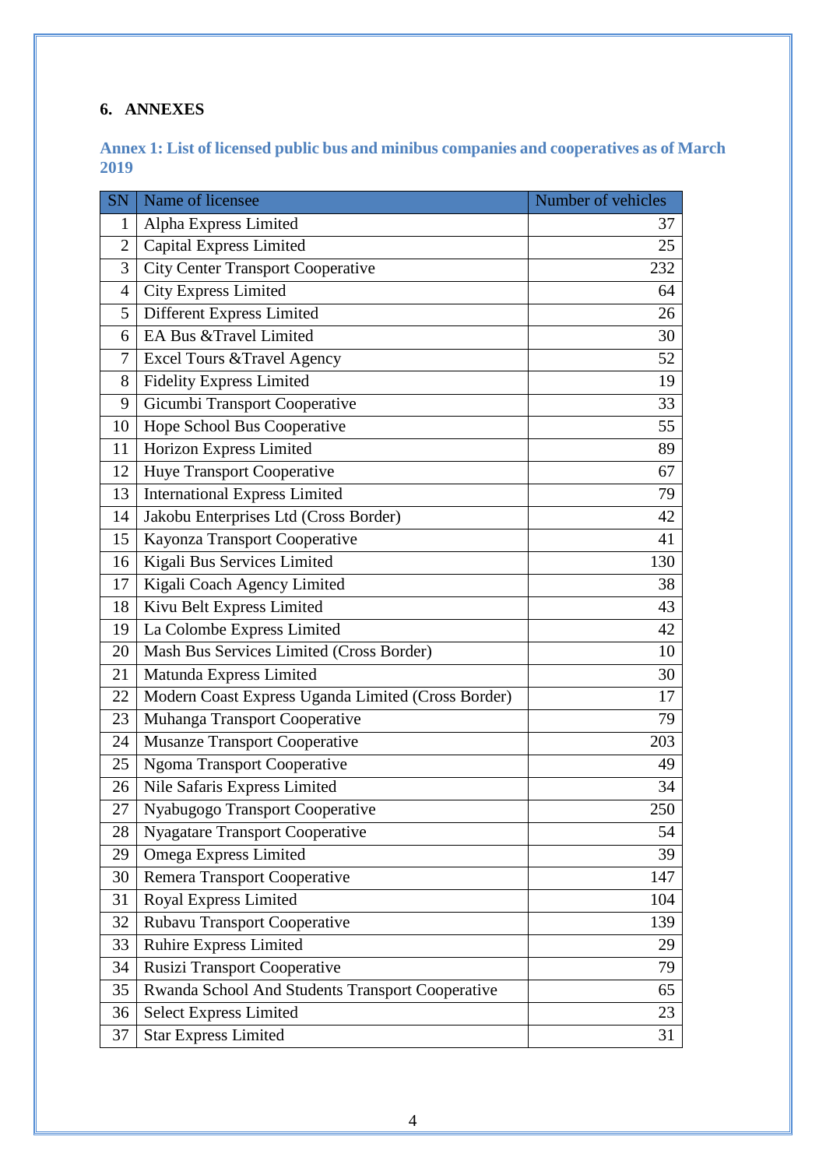## **6. ANNEXES**

#### <span id="page-5-0"></span>**Annex 1: List of licensed public bus and minibus companies and cooperatives as of March**

| <b>SN</b>      | Name of licensee                                   | Number of vehicles |
|----------------|----------------------------------------------------|--------------------|
| 1              | Alpha Express Limited                              | 37                 |
| $\overline{2}$ | <b>Capital Express Limited</b>                     | 25                 |
| 3              | <b>City Center Transport Cooperative</b>           | 232                |
| 4              | <b>City Express Limited</b>                        | 64                 |
| 5              | Different Express Limited                          | 26                 |
| 6              | EA Bus & Travel Limited                            | 30                 |
| 7              | Excel Tours & Travel Agency                        | 52                 |
| 8              | <b>Fidelity Express Limited</b>                    | 19                 |
| 9              | Gicumbi Transport Cooperative                      | 33                 |
| 10             | Hope School Bus Cooperative                        | 55                 |
| 11             | Horizon Express Limited                            | 89                 |
| 12             | <b>Huye Transport Cooperative</b>                  | 67                 |
| 13             | <b>International Express Limited</b>               | 79                 |
| 14             | Jakobu Enterprises Ltd (Cross Border)              | 42                 |
| 15             | Kayonza Transport Cooperative                      | 41                 |
| 16             | Kigali Bus Services Limited                        | 130                |
| 17             | Kigali Coach Agency Limited                        | 38                 |
| 18             | Kivu Belt Express Limited                          | 43                 |
| 19             | La Colombe Express Limited                         | 42                 |
| 20             | Mash Bus Services Limited (Cross Border)           | 10                 |
| 21             | Matunda Express Limited                            | 30                 |
| 22             | Modern Coast Express Uganda Limited (Cross Border) | 17                 |
| 23             | Muhanga Transport Cooperative                      | 79                 |
| 24             | <b>Musanze Transport Cooperative</b>               | 203                |
| 25             | <b>Ngoma Transport Cooperative</b>                 | 49                 |
| 26             | Nile Safaris Express Limited                       | 34                 |
| 27             | Nyabugogo Transport Cooperative                    | 250                |
| 28             | <b>Nyagatare Transport Cooperative</b>             | 54                 |
| 29             | Omega Express Limited                              | 39                 |
| 30             | Remera Transport Cooperative                       | 147                |
| 31             | <b>Royal Express Limited</b>                       | 104                |
| 32             | <b>Rubavu Transport Cooperative</b>                | 139                |
| 33             | <b>Ruhire Express Limited</b>                      | 29                 |
| 34             | <b>Rusizi Transport Cooperative</b>                | 79                 |
| 35             | Rwanda School And Students Transport Cooperative   | 65                 |
| 36             | <b>Select Express Limited</b>                      | 23                 |
| 37             | <b>Star Express Limited</b>                        | 31                 |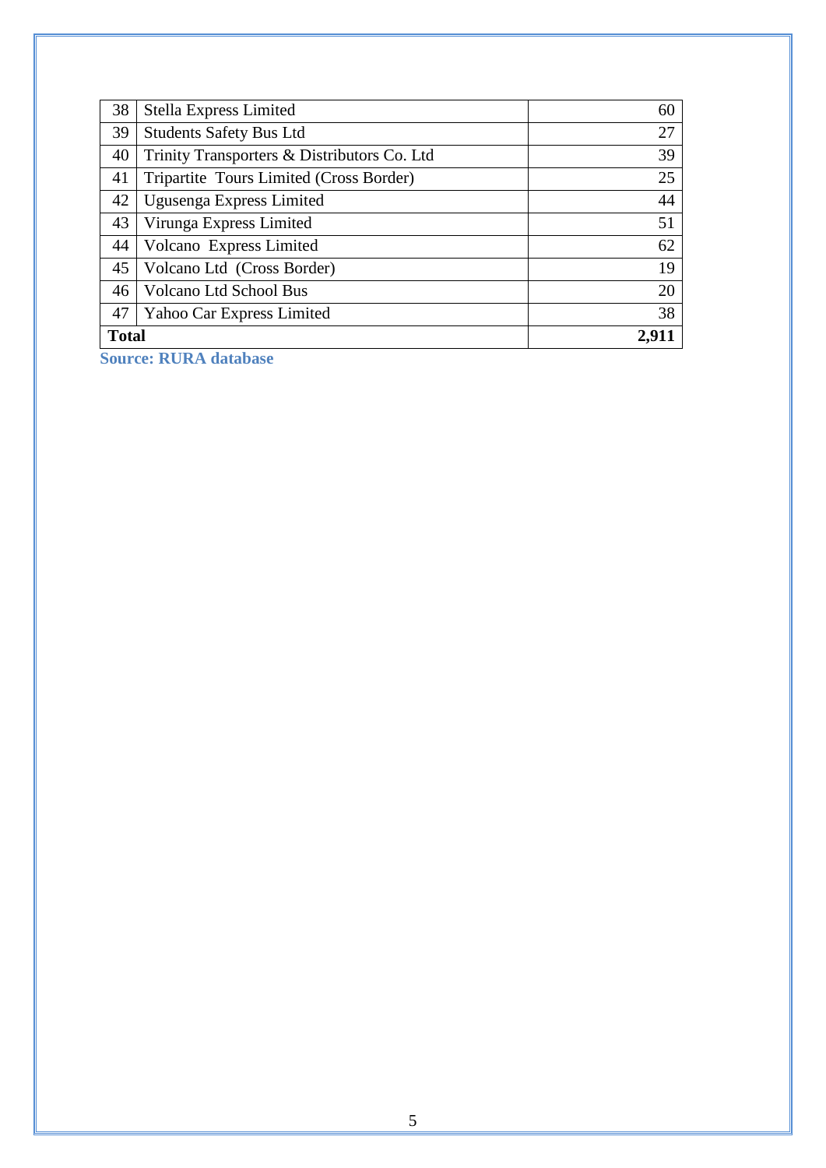| 38           | Stella Express Limited                       | 60    |
|--------------|----------------------------------------------|-------|
| 39           | <b>Students Safety Bus Ltd</b>               | 27    |
| 40           | Trinity Transporters & Distributors Co. Ltd. | 39    |
| 41           | Tripartite Tours Limited (Cross Border)      | 25    |
| 42           | Ugusenga Express Limited                     | 44    |
| 43           | Virunga Express Limited                      | 51    |
| 44           | Volcano Express Limited                      | 62    |
| 45           | Volcano Ltd (Cross Border)                   | 19    |
| 46           | <b>Volcano Ltd School Bus</b>                | 20    |
| 47           | Yahoo Car Express Limited                    | 38    |
| <b>Total</b> |                                              | 2,911 |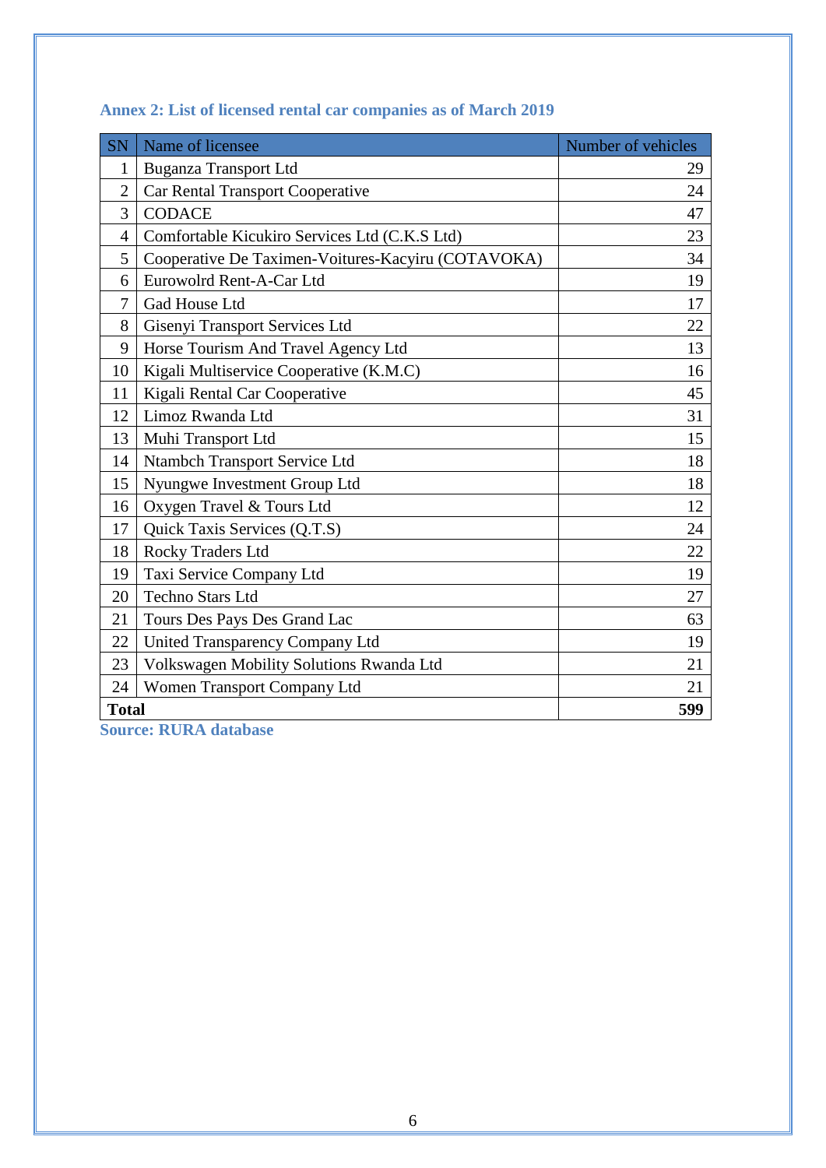<span id="page-7-1"></span>

| <b>SN</b>      | Name of licensee                                   | Number of vehicles |
|----------------|----------------------------------------------------|--------------------|
| $\mathbf{1}$   | <b>Buganza Transport Ltd</b>                       | 29                 |
| $\overline{2}$ | <b>Car Rental Transport Cooperative</b>            | 24                 |
| 3              | <b>CODACE</b>                                      | 47                 |
| 4              | Comfortable Kicukiro Services Ltd (C.K.S Ltd)      | 23                 |
| 5              | Cooperative De Taximen-Voitures-Kacyiru (COTAVOKA) | 34                 |
| 6              | Eurowolrd Rent-A-Car Ltd                           | 19                 |
| 7              | Gad House Ltd                                      | 17                 |
| 8              | Gisenyi Transport Services Ltd                     | 22                 |
| 9              | Horse Tourism And Travel Agency Ltd                | 13                 |
| 10             | Kigali Multiservice Cooperative (K.M.C)            | 16                 |
| 11             | Kigali Rental Car Cooperative                      | 45                 |
| 12             | Limoz Rwanda Ltd                                   | 31                 |
| 13             | Muhi Transport Ltd                                 | 15                 |
| 14             | Ntambch Transport Service Ltd                      | 18                 |
| 15             | Nyungwe Investment Group Ltd                       | 18                 |
| 16             | Oxygen Travel & Tours Ltd                          | 12                 |
| 17             | Quick Taxis Services (Q.T.S)                       | 24                 |
| 18             | Rocky Traders Ltd                                  | 22                 |
| 19             | Taxi Service Company Ltd                           | 19                 |
| 20             | <b>Techno Stars Ltd</b>                            | 27                 |
| 21             | Tours Des Pays Des Grand Lac                       | 63                 |
| 22             | <b>United Transparency Company Ltd</b>             | 19                 |
| 23             | Volkswagen Mobility Solutions Rwanda Ltd           | 21                 |
| 24             | <b>Women Transport Company Ltd</b>                 | 21                 |
| <b>Total</b>   |                                                    | 599                |

# <span id="page-7-0"></span>**Annex 2: List of licensed rental car companies as of March 2019**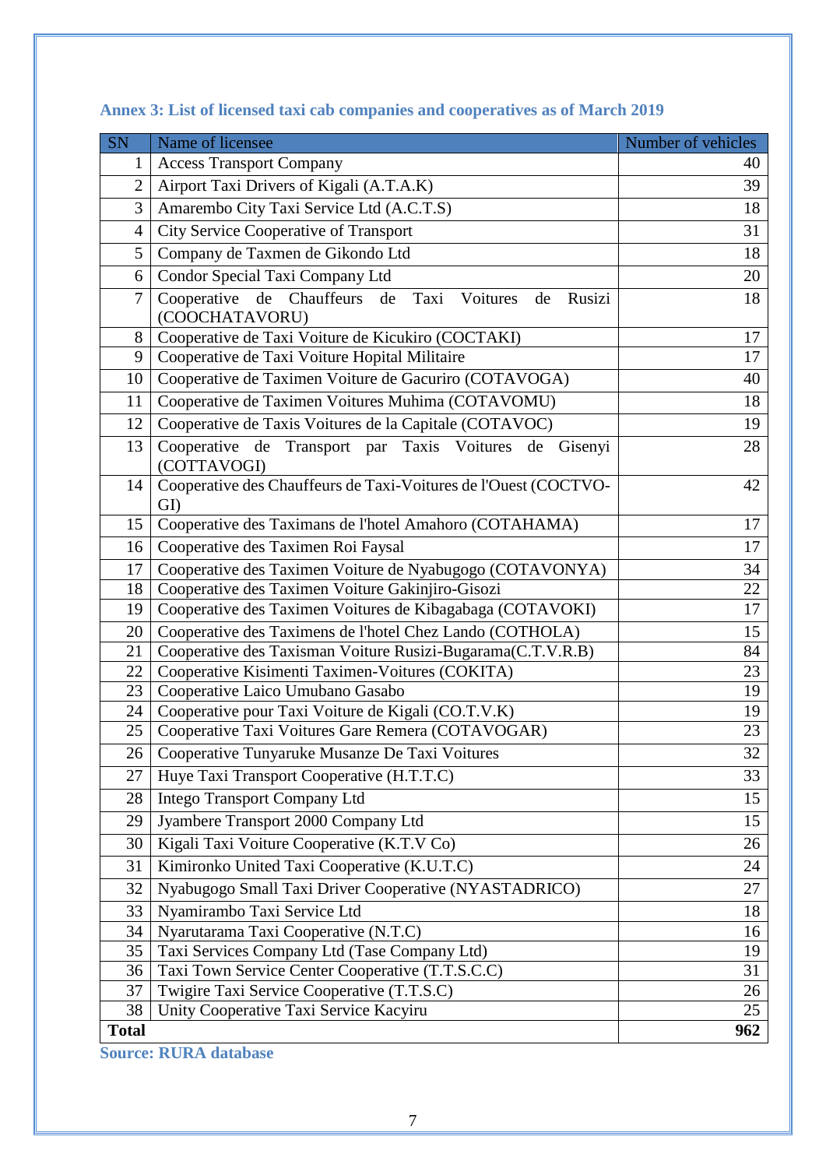| SN             | Name of licensee                                                         | Number of vehicles |
|----------------|--------------------------------------------------------------------------|--------------------|
| 1              | <b>Access Transport Company</b>                                          | 40                 |
| $\overline{2}$ | Airport Taxi Drivers of Kigali (A.T.A.K)                                 | 39                 |
| 3              | Amarembo City Taxi Service Ltd (A.C.T.S)                                 | 18                 |
| 4              | City Service Cooperative of Transport                                    | 31                 |
| 5              | Company de Taxmen de Gikondo Ltd                                         | 18                 |
| 6              | Condor Special Taxi Company Ltd                                          | 20                 |
| 7              | Cooperative de Chauffeurs de Taxi<br>Voitures<br>Rusizi<br>de            | 18                 |
|                | (COOCHATAVORU)                                                           |                    |
| 8              | Cooperative de Taxi Voiture de Kicukiro (COCTAKI)                        | 17                 |
| 9              | Cooperative de Taxi Voiture Hopital Militaire                            | 17                 |
| 10             | Cooperative de Taximen Voiture de Gacuriro (COTAVOGA)                    | 40                 |
| 11             | Cooperative de Taximen Voitures Muhima (COTAVOMU)                        | 18                 |
| 12             | Cooperative de Taxis Voitures de la Capitale (COTAVOC)                   | 19                 |
| 13             | Cooperative de Transport par Taxis Voitures de<br>Gisenyi<br>(COTTAVOGI) | 28                 |
| 14             | Cooperative des Chauffeurs de Taxi-Voitures de l'Ouest (COCTVO-<br>GI)   | 42                 |
| 15             | Cooperative des Taximans de l'hotel Amahoro (COTAHAMA)                   | 17                 |
| 16             | Cooperative des Taximen Roi Faysal                                       | 17                 |
| 17             | Cooperative des Taximen Voiture de Nyabugogo (COTAVONYA)                 | 34                 |
| 18             | Cooperative des Taximen Voiture Gakinjiro-Gisozi                         | 22                 |
| 19             | Cooperative des Taximen Voitures de Kibagabaga (COTAVOKI)                | 17                 |
| 20             | Cooperative des Taximens de l'hotel Chez Lando (COTHOLA)                 | 15                 |
| 21             | Cooperative des Taxisman Voiture Rusizi-Bugarama(C.T.V.R.B)              | 84                 |
| 22             | Cooperative Kisimenti Taximen-Voitures (COKITA)                          | 23                 |
| 23             | Cooperative Laico Umubano Gasabo                                         | 19                 |
| 24             | Cooperative pour Taxi Voiture de Kigali (CO.T.V.K)                       | 19                 |
| 25             | Cooperative Taxi Voitures Gare Remera (COTAVOGAR)                        | 23                 |
| 26             | Cooperative Tunyaruke Musanze De Taxi Voitures                           | 32                 |
| 27             | Huye Taxi Transport Cooperative (H.T.T.C)                                | 33                 |
| 28             | <b>Intego Transport Company Ltd</b>                                      | 15                 |
| 29             | Jyambere Transport 2000 Company Ltd                                      | 15                 |
| 30             | Kigali Taxi Voiture Cooperative (K.T.V Co)                               | 26                 |
| 31             | Kimironko United Taxi Cooperative (K.U.T.C)                              | 24                 |
| 32             | Nyabugogo Small Taxi Driver Cooperative (NYASTADRICO)                    | 27                 |
| 33             | Nyamirambo Taxi Service Ltd                                              | 18                 |
| 34             | Nyarutarama Taxi Cooperative (N.T.C)                                     | 16                 |
| 35             | Taxi Services Company Ltd (Tase Company Ltd)                             | 19                 |
| 36             | Taxi Town Service Center Cooperative (T.T.S.C.C)                         | 31                 |
| 37             | Twigire Taxi Service Cooperative (T.T.S.C)                               | 26                 |
| 38             | Unity Cooperative Taxi Service Kacyiru                                   | 25                 |
| <b>Total</b>   |                                                                          | 962                |

# **Annex 3: List of licensed taxi cab companies and cooperatives as of March 2019**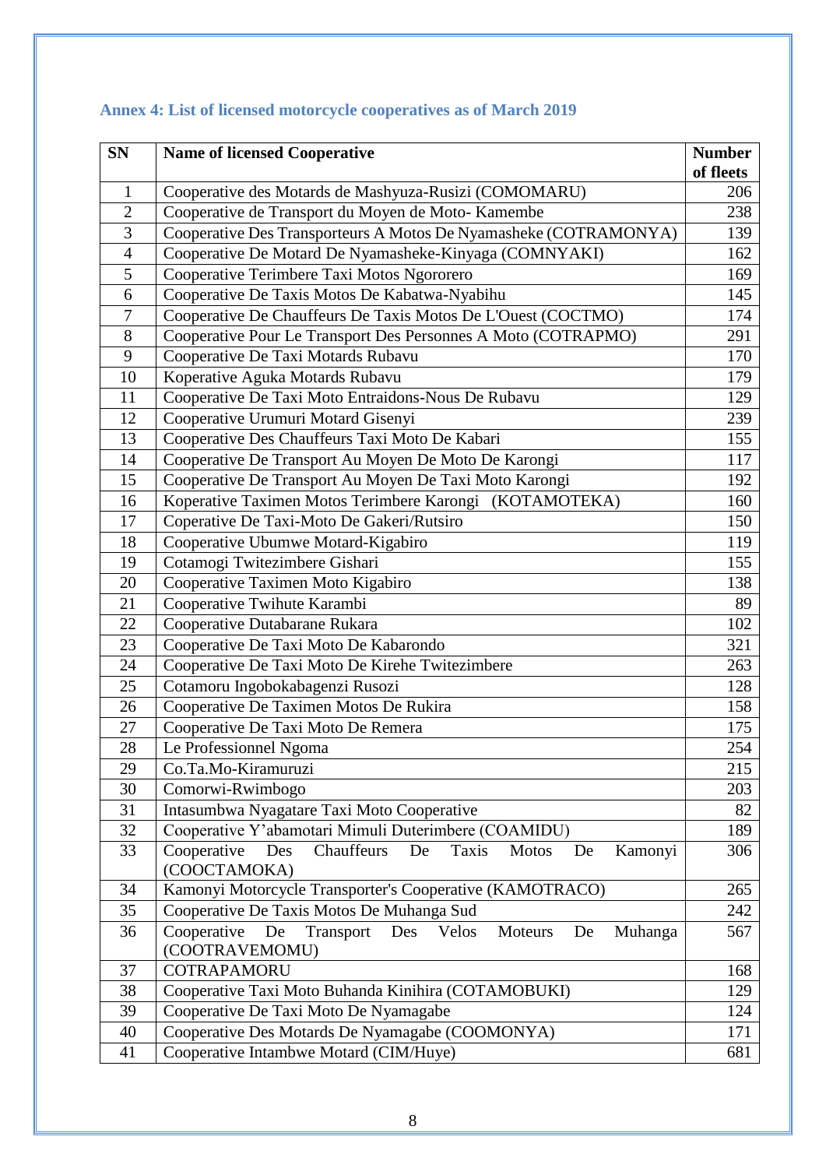| <b>SN</b>      | <b>Name of licensed Cooperative</b>                                                                                   | <b>Number</b>    |
|----------------|-----------------------------------------------------------------------------------------------------------------------|------------------|
| 1              |                                                                                                                       | of fleets<br>206 |
| $\overline{2}$ | Cooperative des Motards de Mashyuza-Rusizi (COMOMARU)                                                                 |                  |
| $\overline{3}$ | Cooperative de Transport du Moyen de Moto-Kamembe<br>Cooperative Des Transporteurs A Motos De Nyamasheke (COTRAMONYA) |                  |
| $\overline{4}$ | Cooperative De Motard De Nyamasheke-Kinyaga (COMNYAKI)                                                                |                  |
| 5              | Cooperative Terimbere Taxi Motos Ngororero                                                                            |                  |
| 6              | Cooperative De Taxis Motos De Kabatwa-Nyabihu                                                                         | 169<br>145       |
| $\overline{7}$ | Cooperative De Chauffeurs De Taxis Motos De L'Ouest (COCTMO)                                                          | 174              |
| 8              | Cooperative Pour Le Transport Des Personnes A Moto (COTRAPMO)                                                         | 291              |
| 9              | Cooperative De Taxi Motards Rubavu                                                                                    | 170              |
| 10             | Koperative Aguka Motards Rubavu                                                                                       | 179              |
| 11             | Cooperative De Taxi Moto Entraidons-Nous De Rubavu                                                                    | 129              |
| 12             | Cooperative Urumuri Motard Gisenyi                                                                                    | 239              |
| 13             | Cooperative Des Chauffeurs Taxi Moto De Kabari                                                                        | 155              |
| 14             | Cooperative De Transport Au Moyen De Moto De Karongi                                                                  | 117              |
| 15             | Cooperative De Transport Au Moyen De Taxi Moto Karongi                                                                | 192              |
| 16             | Koperative Taximen Motos Terimbere Karongi (KOTAMOTEKA)                                                               | 160              |
| 17             | Coperative De Taxi-Moto De Gakeri/Rutsiro                                                                             | 150              |
| 18             | Cooperative Ubumwe Motard-Kigabiro                                                                                    |                  |
| 19             | Cotamogi Twitezimbere Gishari                                                                                         | 119<br>155       |
| 20             | Cooperative Taximen Moto Kigabiro                                                                                     | 138              |
| 21             | Cooperative Twihute Karambi                                                                                           | 89               |
| 22             | Cooperative Dutabarane Rukara                                                                                         | 102              |
| 23             | Cooperative De Taxi Moto De Kabarondo                                                                                 | 321              |
| 24             | Cooperative De Taxi Moto De Kirehe Twitezimbere                                                                       | 263              |
| 25             | Cotamoru Ingobokabagenzi Rusozi                                                                                       | 128              |
| 26             | Cooperative De Taximen Motos De Rukira                                                                                | 158              |
| 27             | Cooperative De Taxi Moto De Remera                                                                                    | 175              |
| 28             | Le Professionnel Ngoma                                                                                                | 254              |
| 29             | Co.Ta.Mo-Kiramuruzi                                                                                                   | 215              |
| 30             | Comorwi-Rwimbogo                                                                                                      | 203              |
| 31             | Intasumbwa Nyagatare Taxi Moto Cooperative                                                                            | 82               |
| 32             | Cooperative Y'abamotari Mimuli Duterimbere (COAMIDU)                                                                  | 189              |
| 33             | Cooperative<br>Chauffeurs<br>Des<br>De<br>Taxis<br><b>Motos</b><br>De<br>Kamonyi                                      | 306              |
|                | (COOCTAMOKA)                                                                                                          |                  |
| 34             | Kamonyi Motorcycle Transporter's Cooperative (KAMOTRACO)                                                              | 265              |
| 35             | Cooperative De Taxis Motos De Muhanga Sud                                                                             | 242              |
| 36             | Cooperative<br>De<br>Transport<br>Des<br>Moteurs<br>Velos<br>De<br>Muhanga                                            | 567              |
|                | (COOTRAVEMOMU)                                                                                                        |                  |
| 37             | COTRAPAMORU                                                                                                           | 168              |
| 38             | Cooperative Taxi Moto Buhanda Kinihira (COTAMOBUKI)                                                                   | 129              |
| 39             | Cooperative De Taxi Moto De Nyamagabe                                                                                 | 124              |
| 40             | Cooperative Des Motards De Nyamagabe (COOMONYA)                                                                       | 171              |
| 41             | Cooperative Intambwe Motard (CIM/Huye)                                                                                | 681              |

# <span id="page-9-0"></span>**Annex 4: List of licensed motorcycle cooperatives as of March 2019**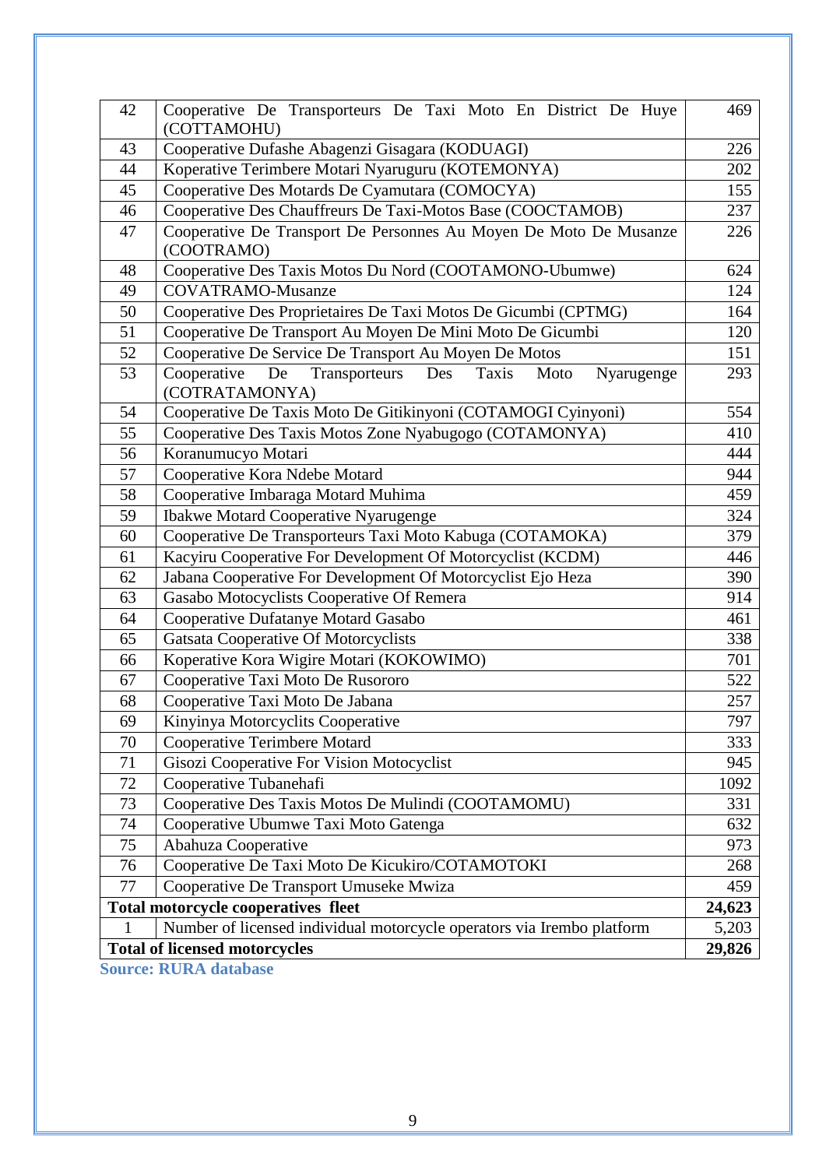| 42<br>Cooperative De Transporteurs De Taxi Moto En District De Huye<br>(COTTAMOHU)               | 469             |
|--------------------------------------------------------------------------------------------------|-----------------|
| Cooperative Dufashe Abagenzi Gisagara (KODUAGI)<br>43                                            | 226             |
| 44<br>Koperative Terimbere Motari Nyaruguru (KOTEMONYA)                                          | 202             |
| Cooperative Des Motards De Cyamutara (COMOCYA)<br>45                                             | 155             |
| 46<br>Cooperative Des Chauffreurs De Taxi-Motos Base (COOCTAMOB)                                 | 237             |
| 47<br>Cooperative De Transport De Personnes Au Moyen De Moto De Musanze                          | 226             |
| (COOTRAMO)                                                                                       |                 |
| Cooperative Des Taxis Motos Du Nord (COOTAMONO-Ubumwe)<br>48                                     | 624             |
| 49<br><b>COVATRAMO-Musanze</b>                                                                   | 124             |
| 50<br>Cooperative Des Proprietaires De Taxi Motos De Gicumbi (CPTMG)                             | 164             |
| 51<br>Cooperative De Transport Au Moyen De Mini Moto De Gicumbi                                  | 120             |
| 52<br>Cooperative De Service De Transport Au Moyen De Motos                                      | 151             |
| 53<br>De<br>Transporteurs<br>Des<br>Taxis<br>Cooperative<br>Moto<br>Nyarugenge<br>(COTRATAMONYA) | 293             |
| Cooperative De Taxis Moto De Gitikinyoni (COTAMOGI Cyinyoni)<br>54                               | 554             |
| 55<br>Cooperative Des Taxis Motos Zone Nyabugogo (COTAMONYA)                                     | 410             |
| $\overline{56}$<br>Koranumucyo Motari                                                            | 444             |
| Cooperative Kora Ndebe Motard<br>57                                                              | 944             |
| 58<br>Cooperative Imbaraga Motard Muhima                                                         | 459             |
| <b>Ibakwe Motard Cooperative Nyarugenge</b><br>59                                                | 324             |
| Cooperative De Transporteurs Taxi Moto Kabuga (COTAMOKA)<br>60                                   | 379             |
| Kacyiru Cooperative For Development Of Motorcyclist (KCDM)<br>61                                 | 446             |
| 62<br>Jabana Cooperative For Development Of Motorcyclist Ejo Heza                                | 390             |
| Gasabo Motocyclists Cooperative Of Remera<br>63                                                  | 914             |
| Cooperative Dufatanye Motard Gasabo<br>64                                                        | 461             |
| <b>Gatsata Cooperative Of Motorcyclists</b><br>65                                                | 338             |
| Koperative Kora Wigire Motari (KOKOWIMO)<br>66                                                   | 701             |
| Cooperative Taxi Moto De Rusororo<br>67                                                          | 522             |
| 68<br>Cooperative Taxi Moto De Jabana                                                            | 257             |
| Kinyinya Motorcyclits Cooperative<br>69                                                          | 797             |
| Cooperative Terimbere Motard<br>70                                                               | 333             |
| 71<br>Gisozi Cooperative For Vision Motocyclist                                                  | 945             |
| 72<br>Cooperative Tubanehafi                                                                     | 1092            |
| 73<br>Cooperative Des Taxis Motos De Mulindi (COOTAMOMU)                                         | 331             |
| Cooperative Ubumwe Taxi Moto Gatenga<br>74                                                       | 632             |
| 75<br>Abahuza Cooperative                                                                        | 973             |
| Cooperative De Taxi Moto De Kicukiro/COTAMOTOKI<br>76                                            | 268             |
| 77<br>Cooperative De Transport Umuseke Mwiza                                                     | 459             |
| Total motorcycle cooperatives fleet                                                              | 24,623<br>5,203 |
| Number of licensed individual motorcycle operators via Irembo platform<br>1                      |                 |
| <b>Total of licensed motorcycles</b>                                                             | 29,826          |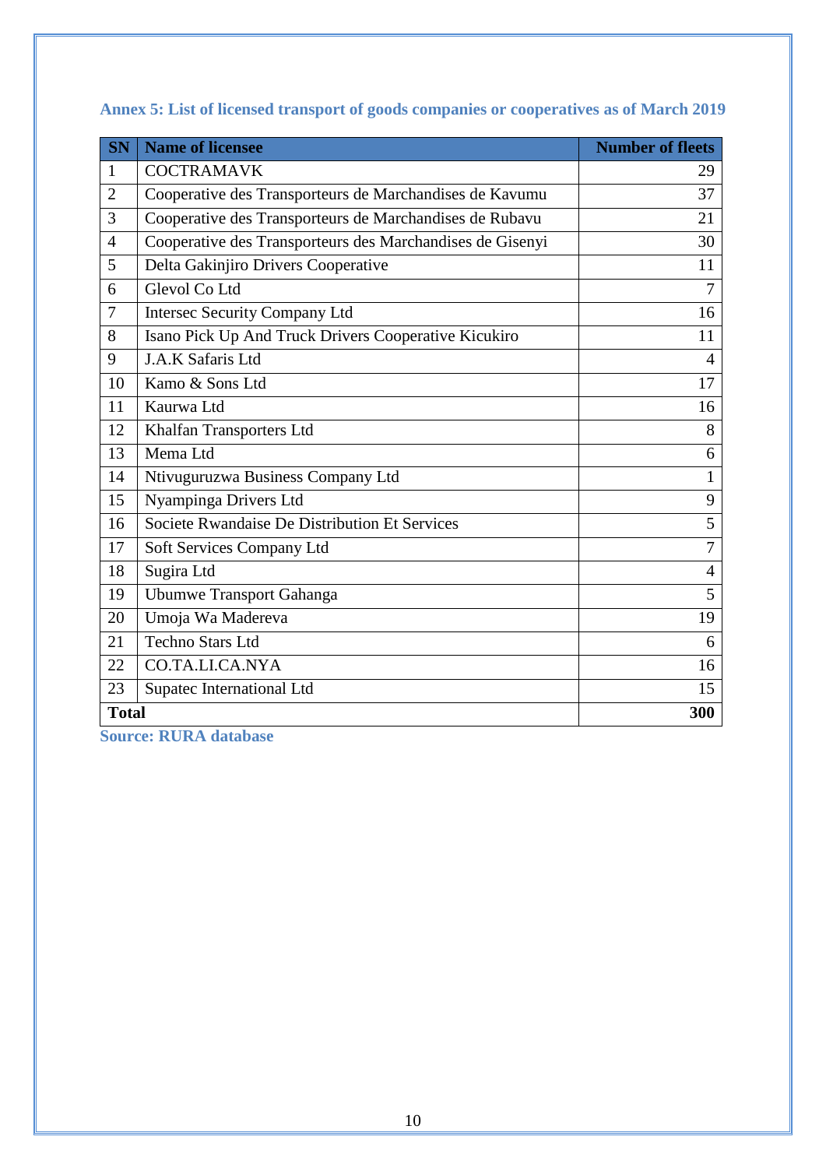| <b>SN</b>      | <b>Name of licensee</b>                                   | <b>Number of fleets</b> |
|----------------|-----------------------------------------------------------|-------------------------|
| 1              | <b>COCTRAMAVK</b>                                         | 29                      |
| $\overline{2}$ | Cooperative des Transporteurs de Marchandises de Kavumu   | 37                      |
| 3              | Cooperative des Transporteurs de Marchandises de Rubavu   | 21                      |
| $\overline{4}$ | Cooperative des Transporteurs des Marchandises de Gisenyi | 30                      |
| 5              | Delta Gakinjiro Drivers Cooperative                       | 11                      |
| 6              | Glevol Co Ltd                                             | $\overline{7}$          |
| 7              | <b>Intersec Security Company Ltd</b>                      | 16                      |
| 8              | Isano Pick Up And Truck Drivers Cooperative Kicukiro      | 11                      |
| 9              | J.A.K Safaris Ltd                                         | $\overline{4}$          |
| 10             | Kamo & Sons Ltd                                           | 17                      |
| 11             | Kaurwa Ltd                                                | 16                      |
| 12             | Khalfan Transporters Ltd                                  | 8                       |
| 13             | Mema Ltd                                                  | 6                       |
| 14             | Ntivuguruzwa Business Company Ltd                         | 1                       |
| 15             | Nyampinga Drivers Ltd                                     | 9                       |
| 16             | Societe Rwandaise De Distribution Et Services             | 5                       |
| 17             | Soft Services Company Ltd                                 | $\overline{7}$          |
| 18             | Sugira Ltd                                                | $\overline{4}$          |
| 19             | <b>Ubumwe Transport Gahanga</b>                           | 5                       |
| 20             | Umoja Wa Madereva                                         | 19                      |
| 21             | <b>Techno Stars Ltd</b>                                   | 6                       |
| 22             | CO.TA.LI.CA.NYA                                           | 16                      |
| 23             | Supatec International Ltd                                 | 15                      |
|                | <b>Total</b><br>300                                       |                         |

<span id="page-11-0"></span>**Annex 5: List of licensed transport of goods companies or cooperatives as of March 2019**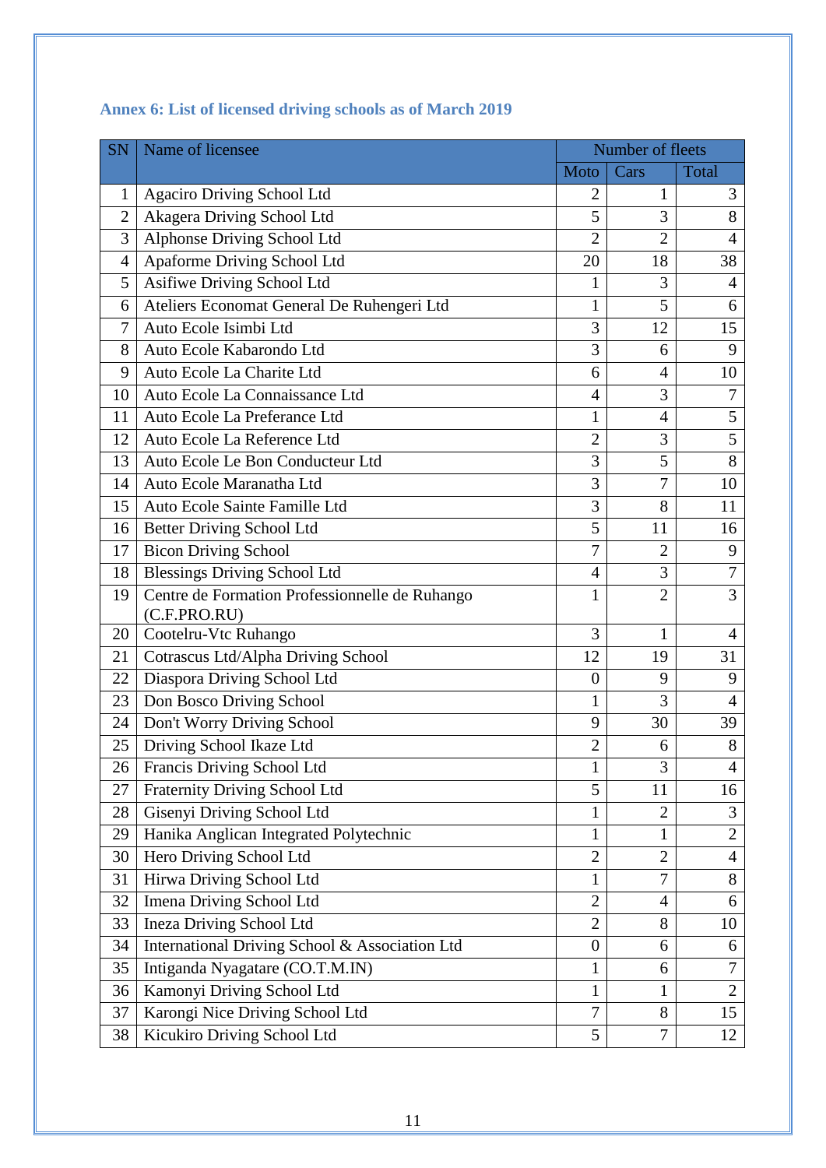| <b>SN</b>      | Name of licensee                                               |                  | Number of fleets |                |
|----------------|----------------------------------------------------------------|------------------|------------------|----------------|
|                |                                                                | Moto             | Cars             | Total          |
| 1              | <b>Agaciro Driving School Ltd</b>                              | $\overline{2}$   | 1                | 3              |
| $\overline{2}$ | Akagera Driving School Ltd                                     | 5                | 3                | 8              |
| 3              | Alphonse Driving School Ltd                                    | $\overline{2}$   | $\overline{2}$   | $\overline{4}$ |
| $\overline{4}$ | Apaforme Driving School Ltd                                    | 20               | 18               | 38             |
| 5              | Asifiwe Driving School Ltd                                     | 1                | 3                | $\overline{4}$ |
| 6              | Ateliers Economat General De Ruhengeri Ltd                     | 1                | 5                | 6              |
| 7              | Auto Ecole Isimbi Ltd                                          | 3                | 12               | 15             |
| 8              | Auto Ecole Kabarondo Ltd                                       | 3                | 6                | 9              |
| 9              | Auto Ecole La Charite Ltd                                      | 6                | $\overline{4}$   | 10             |
| 10             | Auto Ecole La Connaissance Ltd                                 | $\overline{4}$   | 3                | 7              |
| 11             | Auto Ecole La Preferance Ltd                                   | $\mathbf{1}$     | $\overline{4}$   | 5              |
| 12             | Auto Ecole La Reference Ltd                                    | $\overline{2}$   | 3                | $\overline{5}$ |
| 13             | Auto Ecole Le Bon Conducteur Ltd                               | 3                | 5                | $\overline{8}$ |
| 14             | Auto Ecole Maranatha Ltd                                       | 3                | 7                | 10             |
| 15             | Auto Ecole Sainte Famille Ltd                                  | 3                | 8                | 11             |
| 16             | <b>Better Driving School Ltd</b>                               | 5                | 11               | 16             |
| 17             | <b>Bicon Driving School</b>                                    | 7                | $\overline{2}$   | 9              |
| 18             | <b>Blessings Driving School Ltd</b>                            | $\overline{4}$   | 3                | $\overline{7}$ |
| 19             | Centre de Formation Professionnelle de Ruhango<br>(C.F.PRO.RU) | 1                | $\overline{2}$   | 3              |
| 20             | Cootelru-Vtc Ruhango                                           | 3                | 1                | $\overline{4}$ |
| 21             | Cotrascus Ltd/Alpha Driving School                             | 12               | 19               | 31             |
| 22             | Diaspora Driving School Ltd                                    | $\overline{0}$   | 9                | 9              |
| 23             | Don Bosco Driving School                                       | $\mathbf{1}$     | 3                | $\overline{4}$ |
| 24             | Don't Worry Driving School                                     | 9                | 30               | 39             |
| 25             | Driving School Ikaze Ltd                                       | $\overline{2}$   | 6                | 8              |
| 26             | Francis Driving School Ltd                                     | 1                | 3                | 4              |
| 27             | <b>Fraternity Driving School Ltd</b>                           | 5                | 11               | 16             |
| 28             | Gisenyi Driving School Ltd                                     | 1                | $\overline{2}$   | 3              |
| 29             | Hanika Anglican Integrated Polytechnic                         | $\mathbf{1}$     | 1                | $\overline{2}$ |
| 30             | Hero Driving School Ltd                                        | $\overline{2}$   | $\overline{2}$   | $\overline{4}$ |
| 31             | Hirwa Driving School Ltd                                       | 1                | $\overline{7}$   | 8              |
| 32             | Imena Driving School Ltd                                       | $\overline{2}$   | $\overline{4}$   | 6              |
| 33             | <b>Ineza Driving School Ltd</b>                                | $\overline{2}$   | 8                | 10             |
| 34             | International Driving School & Association Ltd                 | $\boldsymbol{0}$ | 6                | 6              |
| 35             | Intiganda Nyagatare (CO.T.M.IN)                                | $\mathbf{1}$     | 6                | $\overline{7}$ |
| 36             | Kamonyi Driving School Ltd                                     | $\mathbf{1}$     | 1                | $\overline{2}$ |
| 37             | Karongi Nice Driving School Ltd                                | 7                | 8                | 15             |
| 38             | Kicukiro Driving School Ltd                                    | 5                | $\overline{7}$   | 12             |

# <span id="page-12-0"></span>**Annex 6: List of licensed driving schools as of March 2019**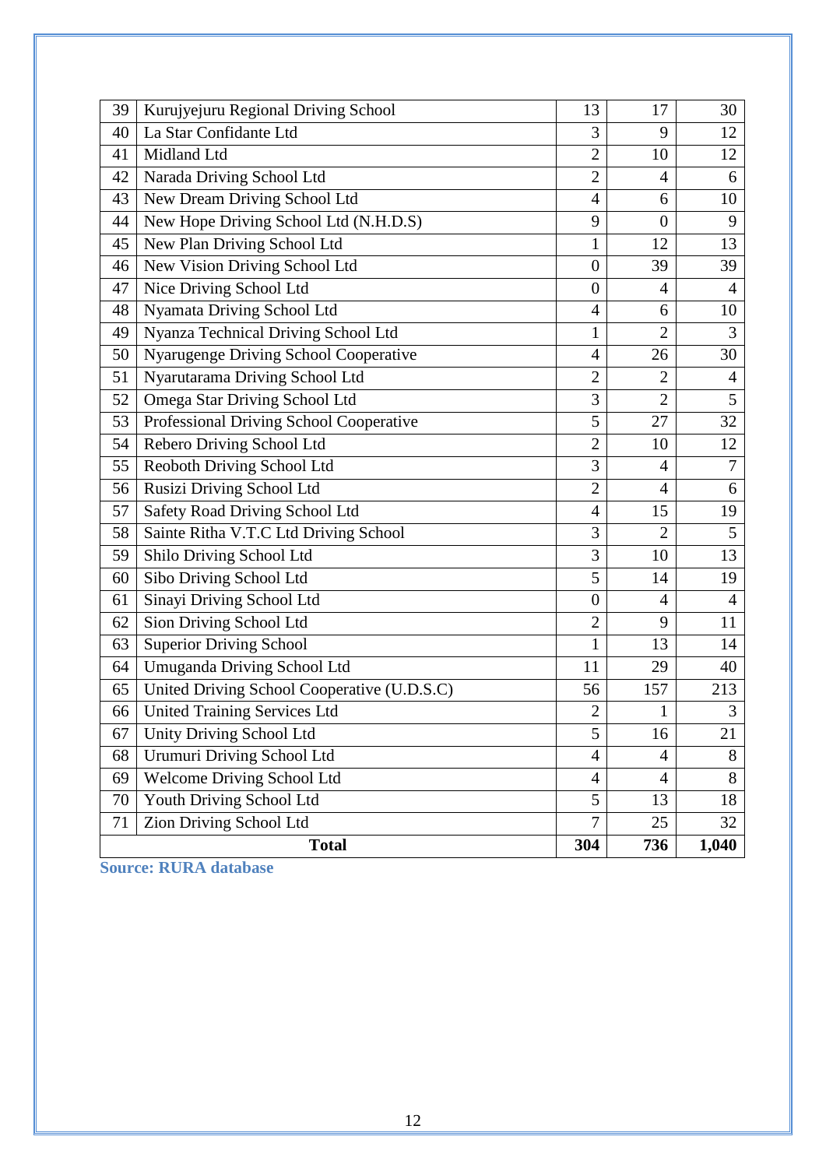| 39 | Kurujyejuru Regional Driving School         | 13               | 17             | 30             |
|----|---------------------------------------------|------------------|----------------|----------------|
| 40 | La Star Confidante Ltd                      | 3                | 9              | 12             |
| 41 | Midland Ltd                                 | $\overline{2}$   | 10             | 12             |
| 42 | Narada Driving School Ltd                   | $\overline{2}$   | $\overline{4}$ | 6              |
| 43 | New Dream Driving School Ltd                | $\overline{4}$   | 6              | 10             |
| 44 | New Hope Driving School Ltd (N.H.D.S)       | 9                | $\overline{0}$ | 9              |
| 45 | New Plan Driving School Ltd                 | $\mathbf{1}$     | 12             | 13             |
| 46 | New Vision Driving School Ltd               | $\boldsymbol{0}$ | 39             | 39             |
| 47 | Nice Driving School Ltd                     | $\overline{0}$   | $\overline{4}$ | $\overline{4}$ |
| 48 | Nyamata Driving School Ltd                  | $\overline{4}$   | 6              | 10             |
| 49 | Nyanza Technical Driving School Ltd         | $\mathbf{1}$     | $\overline{2}$ | 3              |
| 50 | Nyarugenge Driving School Cooperative       | $\overline{4}$   | 26             | 30             |
| 51 | Nyarutarama Driving School Ltd              | $\overline{2}$   | $\overline{2}$ | $\overline{4}$ |
| 52 | <b>Omega Star Driving School Ltd</b>        | 3                | $\overline{2}$ | 5              |
| 53 | Professional Driving School Cooperative     | 5                | 27             | 32             |
| 54 | Rebero Driving School Ltd                   | $\overline{2}$   | 10             | 12             |
| 55 | Reoboth Driving School Ltd                  | 3                | $\overline{4}$ | 7              |
| 56 | Rusizi Driving School Ltd                   | $\overline{2}$   | $\overline{4}$ | 6              |
| 57 | Safety Road Driving School Ltd              | $\overline{4}$   | 15             | 19             |
| 58 | Sainte Ritha V.T.C Ltd Driving School       | 3                | $\overline{2}$ | 5              |
| 59 | Shilo Driving School Ltd                    | 3                | 10             | 13             |
| 60 | Sibo Driving School Ltd                     | 5                | 14             | 19             |
| 61 | Sinayi Driving School Ltd                   | $\overline{0}$   | $\overline{4}$ | $\overline{4}$ |
| 62 | Sion Driving School Ltd                     | $\overline{2}$   | 9              | 11             |
| 63 | <b>Superior Driving School</b>              | $\mathbf{1}$     | 13             | 14             |
| 64 | Umuganda Driving School Ltd                 | 11               | 29             | 40             |
| 65 | United Driving School Cooperative (U.D.S.C) | 56               | 157            | 213            |
| 66 | <b>United Training Services Ltd</b>         | $\overline{2}$   | 1              | 3              |
| 67 | <b>Unity Driving School Ltd</b>             | 5                | 16             | 21             |
| 68 | <b>Urumuri Driving School Ltd</b>           | $\overline{4}$   | 4              | 8              |
| 69 | Welcome Driving School Ltd                  | 4                | $\overline{4}$ | 8              |
| 70 | Youth Driving School Ltd                    | 5                | 13             | 18             |
| 71 | <b>Zion Driving School Ltd</b>              | 7                | 25             | 32             |
|    | <b>Total</b>                                | 304              | 736            | 1,040          |